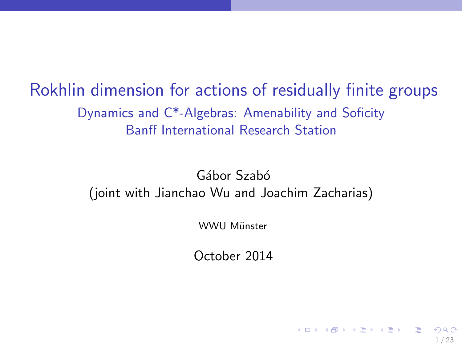Rokhlin dimension for actions of residually finite groups Dynamics and C\*-Algebras: Amenability and Soficity Banff International Research Station

> Gábor Szabó (joint with Jianchao Wu and Joachim Zacharias)

> > WWU Miinster

October 2014

1 / 23

K ロ X K @ X K 할 X K 할 X ( 할 X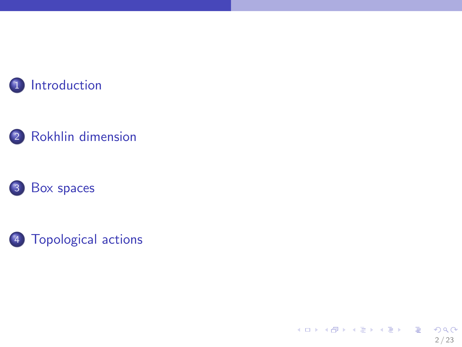

# [Rokhlin dimension](#page-7-0)





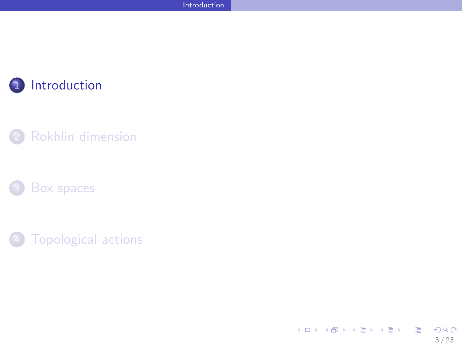

### [Rokhlin dimension](#page-7-0)





<span id="page-2-0"></span>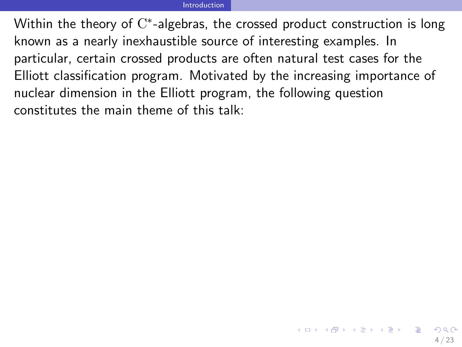#### <span id="page-3-0"></span>[Introduction](#page-3-0)

Within the theory of  $\mathrm{C}^*$ -algebras, the crossed product construction is long known as a nearly inexhaustible source of interesting examples. In particular, certain crossed products are often natural test cases for the Elliott classification program. Motivated by the increasing importance of nuclear dimension in the Elliott program, the following question constitutes the main theme of this talk: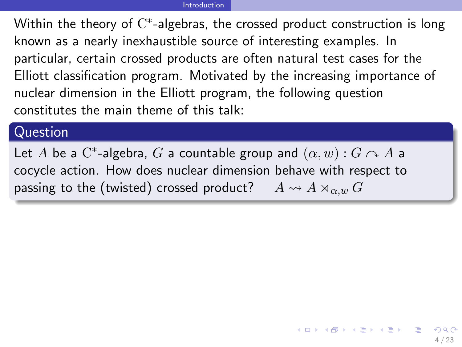#### <span id="page-4-0"></span>[Introduction](#page-4-0)

Within the theory of  $\mathrm{C}^*$ -algebras, the crossed product construction is long known as a nearly inexhaustible source of interesting examples. In particular, certain crossed products are often natural test cases for the Elliott classification program. Motivated by the increasing importance of nuclear dimension in the Elliott program, the following question constitutes the main theme of this talk:

### Question

Let  $A$  be a  $\mathrm{C}^*$ -algebra,  $G$  a countable group and  $(\alpha, w) : G \curvearrowright A$  a cocycle action. How does nuclear dimension behave with respect to passing to the (twisted) crossed product?  $A \rightsquigarrow A \rtimes_{\alpha,w} G$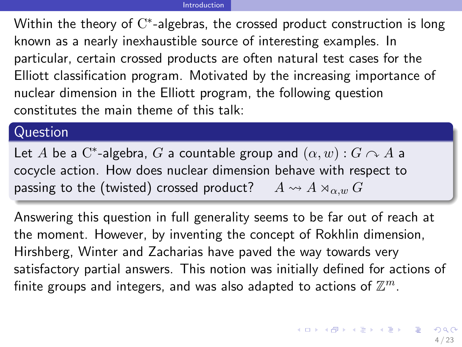Within the theory of  $\mathrm{C}^*$ -algebras, the crossed product construction is long known as a nearly inexhaustible source of interesting examples. In particular, certain crossed products are often natural test cases for the Elliott classification program. Motivated by the increasing importance of nuclear dimension in the Elliott program, the following question constitutes the main theme of this talk:

### Question

Let  $A$  be a  $\mathrm{C}^*$ -algebra,  $G$  a countable group and  $(\alpha, w) : G \curvearrowright A$  a cocycle action. How does nuclear dimension behave with respect to passing to the (twisted) crossed product?  $A \rightsquigarrow A \rtimes_{\alpha,w} G$ 

<span id="page-5-0"></span>Answering this question in full generality seems to be far out of reach at the moment. However, by inventing the concept of Rokhlin dimension, Hirshberg, Winter and Zacharias have paved the way towards very satisfactory partial answers. This notion was initially defined for actions of finite groups and integers, and was also adapted to actions of  $\mathbb{Z}^m$ .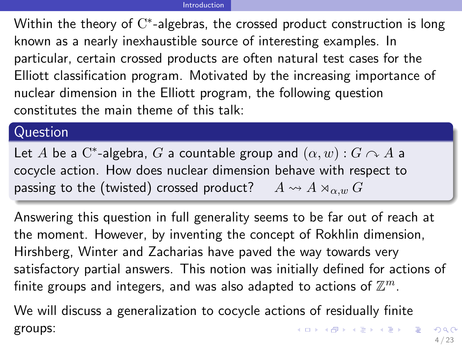Within the theory of  $\mathrm{C}^*$ -algebras, the crossed product construction is long known as a nearly inexhaustible source of interesting examples. In particular, certain crossed products are often natural test cases for the Elliott classification program. Motivated by the increasing importance of nuclear dimension in the Elliott program, the following question constitutes the main theme of this talk:

### Question

Let  $A$  be a  $\mathrm{C}^*$ -algebra,  $G$  a countable group and  $(\alpha, w) : G \curvearrowright A$  a cocycle action. How does nuclear dimension behave with respect to passing to the (twisted) crossed product?  $A \rightsquigarrow A \rtimes_{\alpha,w} G$ 

Answering this question in full generality seems to be far out of reach at the moment. However, by inventing the concept of Rokhlin dimension, Hirshberg, Winter and Zacharias have paved the way towards very satisfactory partial answers. This notion was initially defined for actions of finite groups and integers, and was also adapted to actions of  $\mathbb{Z}^m$ .

<span id="page-6-0"></span>We will discuss a generalization to cocycle actions of residually finite K ロ ▶ K @ ▶ K 할 ▶ K 할 ▶ ( 할 ) groups: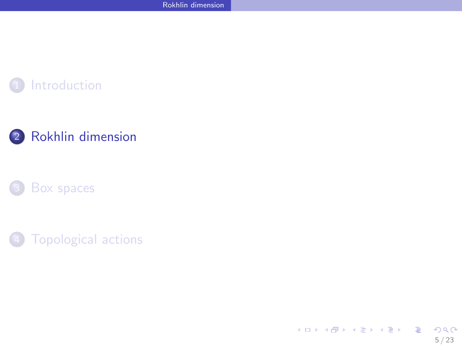

### [Rokhlin dimension](#page-7-0)





<span id="page-7-0"></span>イロト 不優 ト 不思 ト 不思 トー 理 5 / 23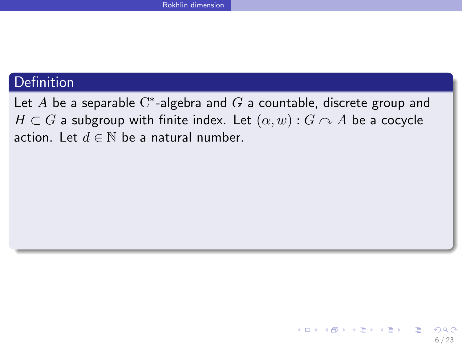Let  $A$  be a separable  $\mathrm{C}^\ast$ -algebra and  $G$  a countable, discrete group and  $H \subset G$  a subgroup with finite index. Let  $(\alpha, w) : G \cap A$  be a cocycle action. Let  $d \in \mathbb{N}$  be a natural number.

<span id="page-8-0"></span>6 / 23

K ロンス 御 > ス ヨ > ス ヨ > ニ ヨ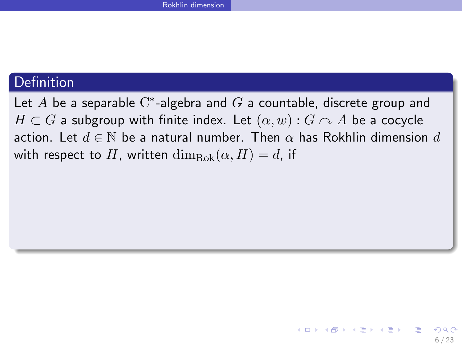Let  $A$  be a separable  $\mathrm{C}^\ast$ -algebra and  $G$  a countable, discrete group and  $H \subset G$  a subgroup with finite index. Let  $(\alpha, w) : G \cap A$  be a cocycle action. Let  $d \in \mathbb{N}$  be a natural number. Then  $\alpha$  has Rokhlin dimension d with respect to H, written  $\dim_{\text{Rok}}(\alpha, H) = d$ , if

<span id="page-9-0"></span>6 / 23

イロト 不優 ト 不思 ト 不思 トー 理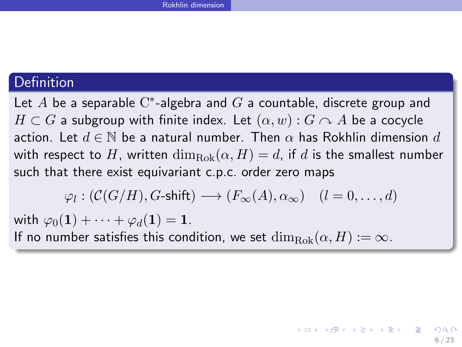Let  $A$  be a separable  $\mathrm{C}^\ast$ -algebra and  $G$  a countable, discrete group and  $H \subset G$  a subgroup with finite index. Let  $(\alpha, w) : G \cap A$  be a cocycle action. Let  $d \in \mathbb{N}$  be a natural number. Then  $\alpha$  has Rokhlin dimension d with respect to H, written  $\dim_{\text{Rok}}(\alpha, H) = d$ , if d is the smallest number such that there exist equivariant c.p.c. order zero maps

$$
\varphi_l:({\mathcal C}(G/H),\mathop{\text{$G$-shift}})\longrightarrow (F_\infty(A),\alpha_\infty)\quad (l=0,\ldots,d)
$$

<span id="page-10-0"></span>6 / 23

K ロ X K @ X K 경 X X 경 X X 경

with  $\varphi_0(1) + \cdots + \varphi_d(1) = 1$ . If no number satisfies this condition, we set  $\dim_{Rok}(\alpha, H) := \infty$ .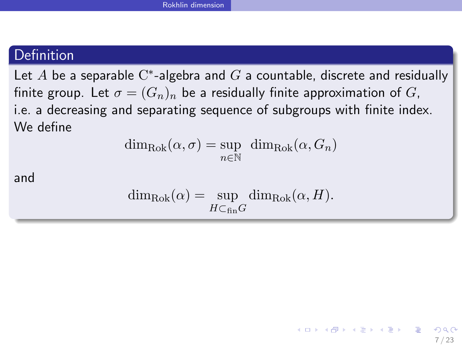Let  $A$  be a separable  $\mathrm{C}^*$ -algebra and  $G$  a countable, discrete and residually finite group. Let  $\sigma = (G_n)_n$  be a residually finite approximation of G, i.e. a decreasing and separating sequence of subgroups with finite index. We define

$$
\dim_{\text{Rok}}(\alpha, \sigma) = \sup_{n \in \mathbb{N}} \dim_{\text{Rok}}(\alpha, G_n)
$$

and

$$
\dim_{\text{Rok}}(\alpha) = \sup_{H \subset_{\text{fin}} G} \dim_{\text{Rok}}(\alpha, H).
$$

<span id="page-11-0"></span>7 / 23

イロト 不優 ト 不思 ト 不思 トー 理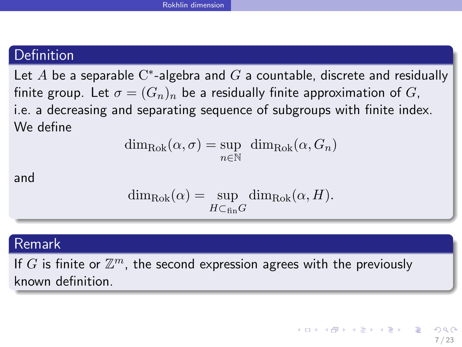Let  $A$  be a separable  $\mathrm{C}^*$ -algebra and  $G$  a countable, discrete and residually finite group. Let  $\sigma = (G_n)_n$  be a residually finite approximation of G, i.e. a decreasing and separating sequence of subgroups with finite index. We define

$$
\dim_{\text{Rok}}(\alpha, \sigma) = \sup_{n \in \mathbb{N}} \dim_{\text{Rok}}(\alpha, G_n)
$$

and

<span id="page-12-0"></span>
$$
\dim_{\text{Rok}}(\alpha) = \sup_{H \subset_{\text{fin}} G} \dim_{\text{Rok}}(\alpha, H).
$$

### Remark

If  $G$  is finite or  $\mathbb{Z}^m$ , the second expression agrees with the previously known definition.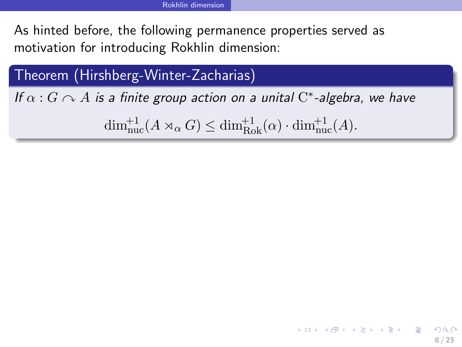Theorem (Hirshberg-Winter-Zacharias)

If  $\alpha$  :  $G \curvearrowright A$  is a finite group action on a unital  $\mathrm{C}^*$ -algebra, we have

 $\dim_{\text{nuc}}^{+1}(A \rtimes_{\alpha} G) \leq \dim_{\text{Rok}}^{+1}(\alpha) \cdot \dim_{\text{nuc}}^{+1}(A).$ 

<span id="page-14-0"></span>8 / 23

K ロ X K @ X K 할 X K 할 X → 할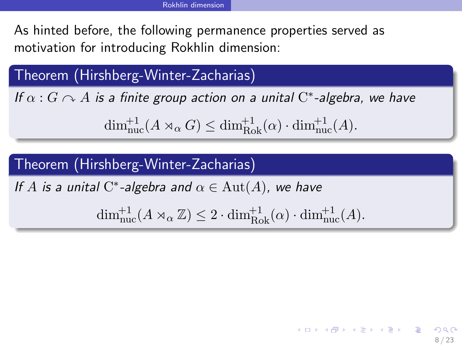Theorem (Hirshberg-Winter-Zacharias)

If  $\alpha$  :  $G \curvearrowright A$  is a finite group action on a unital  $\mathrm{C}^*$ -algebra, we have

 $\dim_{\text{nuc}}^{+1}(A \rtimes_{\alpha} G) \leq \dim_{\text{Rok}}^{+1}(\alpha) \cdot \dim_{\text{nuc}}^{+1}(A).$ 

# Theorem (Hirshberg-Winter-Zacharias)

If A is a unital  $C^*$ -algebra and  $\alpha \in \text{Aut}(A)$ , we have

 $\dim_{\text{nuc}}^{+1}(A \rtimes_{\alpha} \mathbb{Z}) \leq 2 \cdot \dim_{\text{Rok}}^{+1}(\alpha) \cdot \dim_{\text{nuc}}^{+1}(A).$ 

<span id="page-15-0"></span>8 / 23

K ロ ▶ K @ ▶ K 할 > K 할 > → 할 → 9 Q Q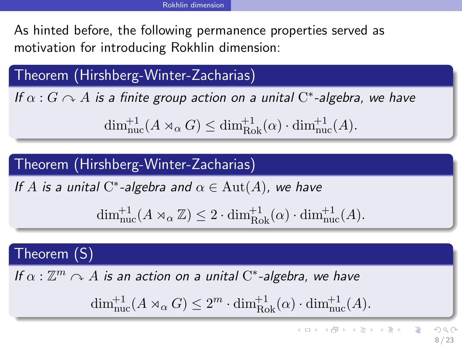Theorem (Hirshberg-Winter-Zacharias)

If  $\alpha$  :  $G \curvearrowright A$  is a finite group action on a unital  $\mathrm{C}^*$ -algebra, we have

 $\dim_{\text{nuc}}^{+1}(A \rtimes_{\alpha} G) \leq \dim_{\text{Rok}}^{+1}(\alpha) \cdot \dim_{\text{nuc}}^{+1}(A).$ 

Theorem (Hirshberg-Winter-Zacharias)

If A is a unital  $C^*$ -algebra and  $\alpha \in \text{Aut}(A)$ , we have

$$
\dim_{\rm nuc}^{\rm +1}(A\rtimes_{\alpha}\mathbb{Z})\leq 2\cdot \dim_{\rm Rok}^{\rm +1}(\alpha)\cdot \dim_{\rm nuc}^{\rm +1}(A).
$$

# Theorem (S)

If  $\alpha: \mathbb{Z}^m \curvearrowright A$  is an action on a unital  $\mathrm{C}^*$ -algebra, we have

<span id="page-16-0"></span>
$$
\dim_{\text{nuc}}^{+1}(A \rtimes_{\alpha} G) \le 2^{m} \cdot \dim_{\text{Rok}}^{+1}(\alpha) \cdot \dim_{\text{nuc}}^{+1}(A).
$$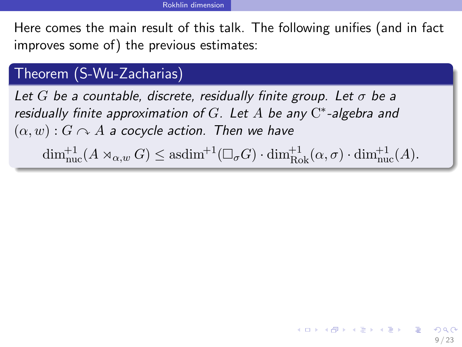## Theorem (S-Wu-Zacharias)

Let G be a countable, discrete, residually finite group. Let  $\sigma$  be a residually finite approximation of  $G$ . Let  $A$  be any  $C^*$ -algebra and  $(\alpha, w): G \cap A$  a cocycle action. Then we have

 $\dim_{\text{nuc}}^{+1}(A \rtimes_{\alpha,w} G) \leq \text{asdim}^{+1}(\Box_{\sigma} G) \cdot \dim_{\text{Rok}}^{+1}(\alpha,\sigma) \cdot \dim_{\text{nuc}}^{+1}(A).$ 

<span id="page-18-0"></span>9 / 23

K ロ X K @ X K 할 X K 할 X 시 할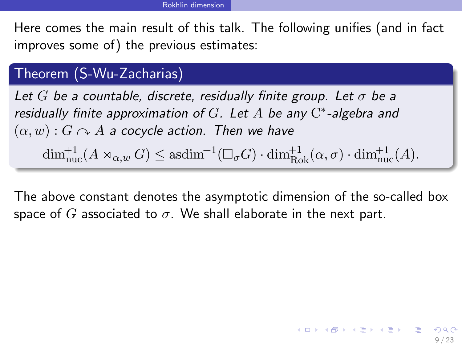## Theorem (S-Wu-Zacharias)

Let G be a countable, discrete, residually finite group. Let  $\sigma$  be a residually finite approximation of  $G$ . Let  $A$  be any  $C^*$ -algebra and  $(\alpha, w)$ :  $G \cap A$  a cocycle action. Then we have

<span id="page-19-0"></span> $\dim_{\text{nuc}}^{+1}(A \rtimes_{\alpha,w} G) \leq \text{asdim}^{+1}(\Box_{\sigma} G) \cdot \dim_{\text{Rok}}^{+1}(\alpha,\sigma) \cdot \dim_{\text{nuc}}^{+1}(A).$ 

The above constant denotes the asymptotic dimension of the so-called box space of G associated to  $\sigma$ . We shall elaborate in the next part.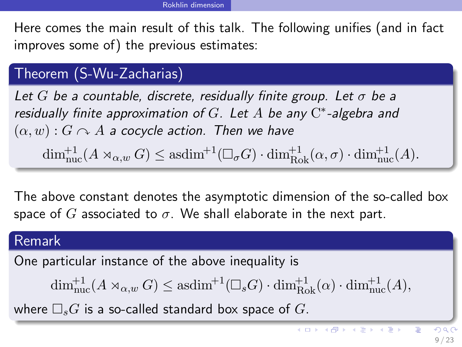# Theorem (S-Wu-Zacharias)

Let G be a countable, discrete, residually finite group. Let  $\sigma$  be a residually finite approximation of  $G$ . Let  $A$  be any  $C^*$ -algebra and  $(\alpha, w)$ :  $G \cap A$  a cocycle action. Then we have

 $\dim_{\text{nuc}}^{+1}(A \rtimes_{\alpha,w} G) \leq \text{asdim}^{+1}(\Box_{\sigma} G) \cdot \dim_{\text{Rok}}^{+1}(\alpha,\sigma) \cdot \dim_{\text{nuc}}^{+1}(A).$ 

The above constant denotes the asymptotic dimension of the so-called box space of G associated to  $\sigma$ . We shall elaborate in the next part.

### Remark

One particular instance of the above inequality is

$$
\dim_{\rm nuc}^{+1}(A\rtimes_{\alpha,w}G)\leq \mathrm{asdim}^{+1}(\square_sG)\cdot \dim_{\rm Rok}^{+1}(\alpha)\cdot \dim_{\rm nuc}^{+1}(A),
$$

where  $\Box_sG$  is a so-called standard box space of G.

<span id="page-20-0"></span>E

メロメ メ御き メミメ メミメ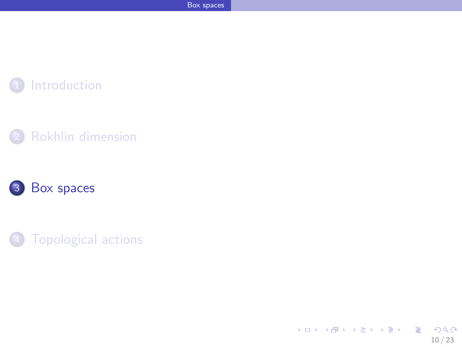

### [Rokhlin dimension](#page-7-0)





<span id="page-21-0"></span>イロメ イ団メ イミメ イモメー 重  $299$ 10 / 23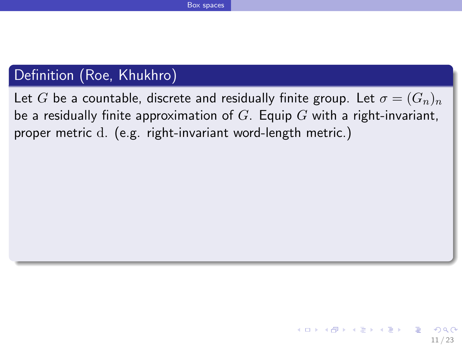# Definition (Roe, Khukhro)

<span id="page-22-0"></span>Let G be a countable, discrete and residually finite group. Let  $\sigma = (G_n)_n$ be a residually finite approximation of  $G$ . Equip  $G$  with a right-invariant, proper metric d. (e.g. right-invariant word-length metric.)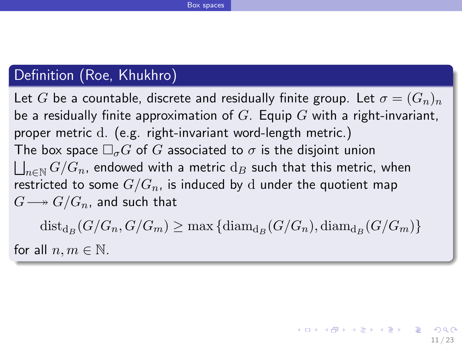# Definition (Roe, Khukhro)

Let G be a countable, discrete and residually finite group. Let  $\sigma = (G_n)_n$ be a residually finite approximation of  $G$ . Equip  $G$  with a right-invariant, proper metric d. (e.g. right-invariant word-length metric.) The box space  $\Box_{\sigma}G$  of G associated to  $\sigma$  is the disjoint union  $\bigsqcup_{n\in\mathbb{N}} G/G_n$ , endowed with a metric  $\mathrm{d}_B$  such that this metric, when restricted to some  $G/G_n$ , is induced by d under the quotient map  $G \longrightarrow G/G_n$ , and such that

<span id="page-23-0"></span> $dist_{d_B}(G/G_n, G/G_m) \ge \max \{ diam_{d_B}(G/G_n), diam_{d_B}(G/G_m) \}$ for all  $n, m \in \mathbb{N}$ .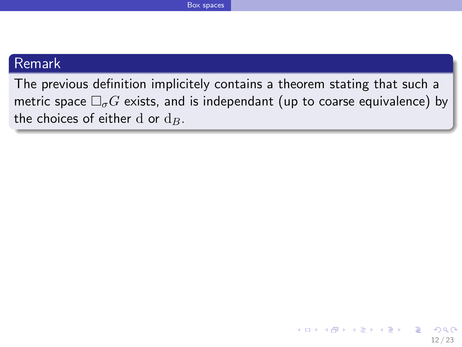### Remark

The previous definition implicitely contains a theorem stating that such a metric space  $\Box_{\sigma}G$  exists, and is independant (up to coarse equivalence) by the choices of either d or  $d_B$ .

<span id="page-24-0"></span>12 / 23

 $QQ$ 

イロト 不優 ト 不思 ト 不思 トー 理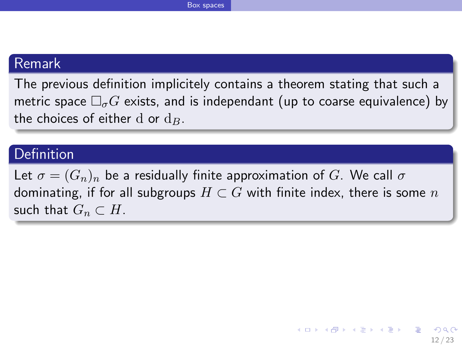### Remark

The previous definition implicitely contains a theorem stating that such a metric space  $\Box_{\sigma}G$  exists, and is independant (up to coarse equivalence) by the choices of either d or  $d_{B}$ .

### Definition

<span id="page-25-0"></span>Let  $\sigma = (G_n)_n$  be a residually finite approximation of G. We call  $\sigma$ dominating, if for all subgroups  $H \subset G$  with finite index, there is some n such that  $G_n \subset H$ .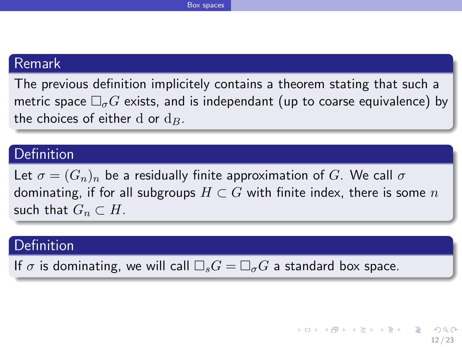### Remark

The previous definition implicitely contains a theorem stating that such a metric space  $\Box_{\sigma}G$  exists, and is independant (up to coarse equivalence) by the choices of either d or  $d_{B}$ .

### Definition

Let  $\sigma = (G_n)_n$  be a residually finite approximation of G. We call  $\sigma$ dominating, if for all subgroups  $H \subset G$  with finite index, there is some n such that  $G_n \subset H$ .

### Definition

<span id="page-26-0"></span>If  $\sigma$  is dominating, we will call  $\Box_s G = \Box_{\sigma} G$  a standard box space.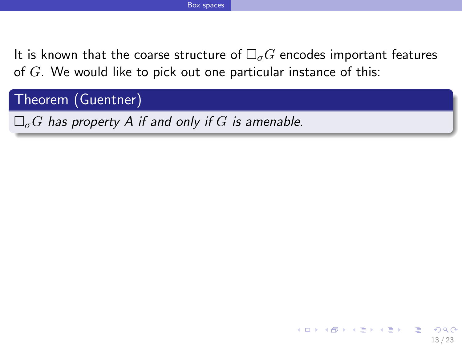<span id="page-28-0"></span>13 / 23

 $\Omega$ 

B

イロメ イ団メ イモメ イモメー

Theorem (Guentner)

 $\Box_{\sigma}G$  has property A if and only if G is amenable.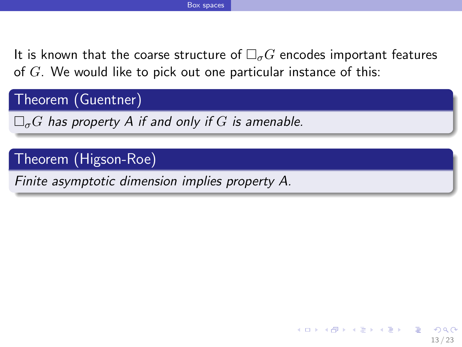Theorem (Guentner)

 $\Box_{\sigma}G$  has property A if and only if G is amenable.

## Theorem (Higson-Roe)

<span id="page-29-0"></span>Finite asymptotic dimension implies property A.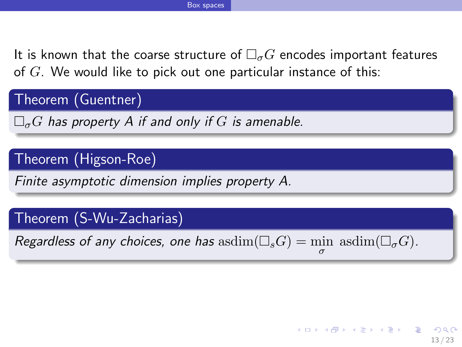Theorem (Guentner)

 $\Box_{\sigma}G$  has property A if and only if G is amenable.

## Theorem (Higson-Roe)

Finite asymptotic dimension implies property A.

### Theorem (S-Wu-Zacharias)

Regardless of any choices, one has  $\operatorname{asdim}(\Box_sG) = \min_{\sigma} \operatorname{asdim}(\Box_{\sigma}G)$ .

<span id="page-30-0"></span>13 / 23

イロト 不優 ト 不思 ト 不思 トー 理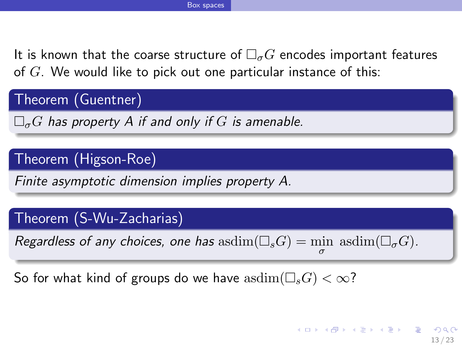Theorem (Guentner)

 $\Box_{\sigma}G$  has property A if and only if G is amenable.

## Theorem (Higson-Roe)

Finite asymptotic dimension implies property A.

### Theorem (S-Wu-Zacharias)

Regardless of any choices, one has  $\operatorname{asdim}(\Box_sG) = \min_{\sigma} \operatorname{asdim}(\Box_{\sigma}G)$ .

<span id="page-31-0"></span>So for what kind of groups do we have  $\text{asdim}(\square_sG) < \infty$ ?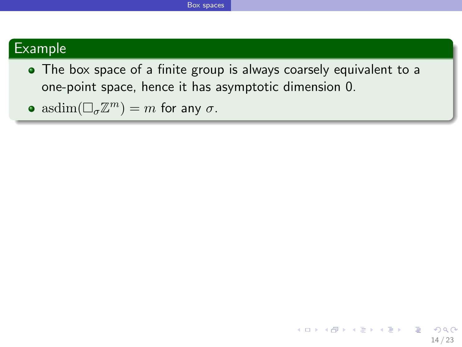### Example

- The box space of a finite group is always coarsely equivalent to a one-point space, hence it has asymptotic dimension 0.
- <span id="page-32-0"></span> $\operatorname{asdim}(\Box_{\sigma}\mathbb{Z}^m)=m$  for any  $\sigma$ .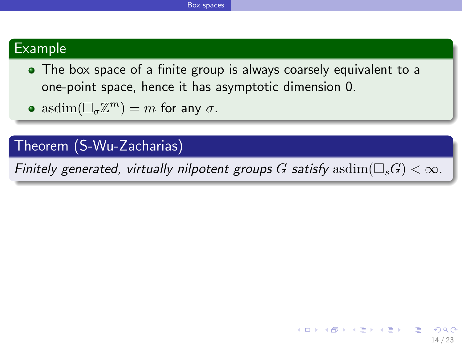### Example

- The box space of a finite group is always coarsely equivalent to a one-point space, hence it has asymptotic dimension 0.
- $\operatorname{asdim}(\Box_{\sigma}\mathbb{Z}^m)=m$  for any  $\sigma$ .

## Theorem (S-Wu-Zacharias)

<span id="page-33-0"></span>Finitely generated, virtually nilpotent groups G satisfy  $\text{asdim}(\square_sG) < \infty$ .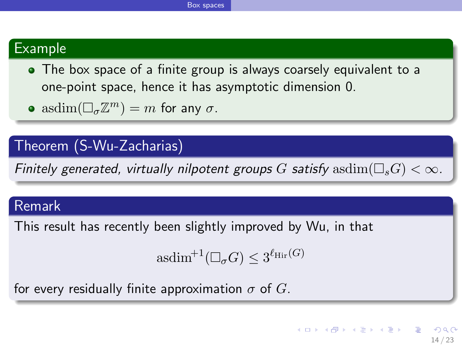### Example

- The box space of a finite group is always coarsely equivalent to a one-point space, hence it has asymptotic dimension 0.
- $\operatorname{asdim}(\Box_{\sigma}\mathbb{Z}^m)=m$  for any  $\sigma$ .

### Theorem (S-Wu-Zacharias)

Finitely generated, virtually nilpotent groups G satisfy  $\text{asdim}(\square_sG) < \infty$ .

### Remark

This result has recently been slightly improved by Wu, in that

<span id="page-34-0"></span>
$$
\mathrm{asdim}^{+1}(\Box_{\sigma} G) \le 3^{\ell_{\mathrm{Hir}}(G)}
$$

for every residually finite approximation  $\sigma$  of G.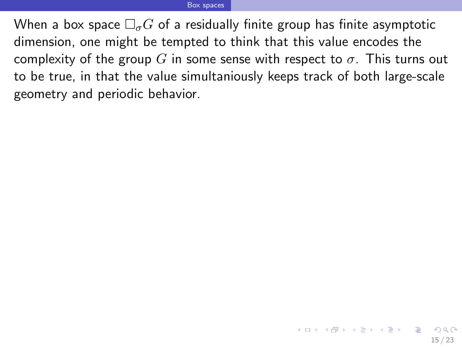<span id="page-35-0"></span>When a box space  $\Box_{\sigma} G$  of a residually finite group has finite asymptotic dimension, one might be tempted to think that this value encodes the complexity of the group G in some sense with respect to  $\sigma$ . This turns out to be true, in that the value simultaniously keeps track of both large-scale geometry and periodic behavior.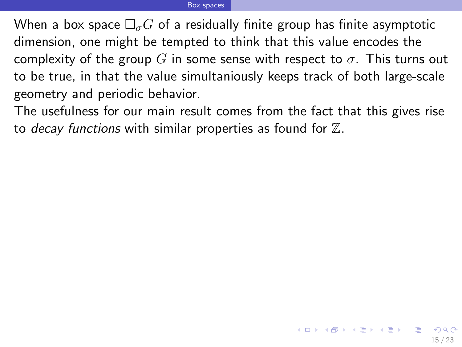When a box space  $\Box_{\sigma}G$  of a residually finite group has finite asymptotic dimension, one might be tempted to think that this value encodes the complexity of the group G in some sense with respect to  $\sigma$ . This turns out to be true, in that the value simultaniously keeps track of both large-scale geometry and periodic behavior.

<span id="page-36-0"></span>The usefulness for our main result comes from the fact that this gives rise to decay functions with similar properties as found for  $\mathbb{Z}$ .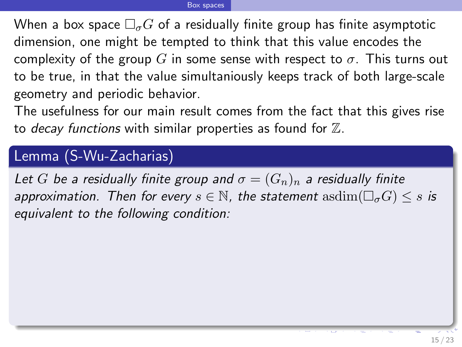When a box space  $\Box_{\sigma}G$  of a residually finite group has finite asymptotic dimension, one might be tempted to think that this value encodes the complexity of the group G in some sense with respect to  $\sigma$ . This turns out to be true, in that the value simultaniously keeps track of both large-scale geometry and periodic behavior.

The usefulness for our main result comes from the fact that this gives rise to decay functions with similar properties as found for  $\mathbb{Z}$ .

### Lemma (S-Wu-Zacharias)

<span id="page-37-0"></span>Let G be a residually finite group and  $\sigma = (G_n)_n$  a residually finite approximation. Then for every  $s \in \mathbb{N}$ , the statement  $\text{asdim}(\Box_{\sigma}G) \leq s$  is equivalent to the following condition: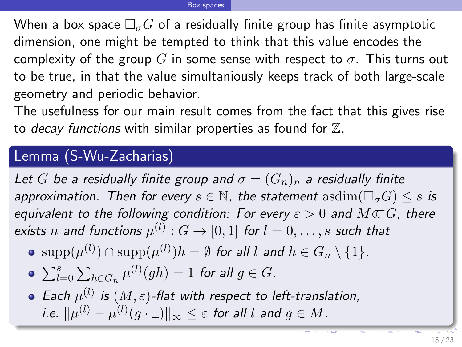When a box space  $\Box_{\sigma}G$  of a residually finite group has finite asymptotic dimension, one might be tempted to think that this value encodes the complexity of the group G in some sense with respect to  $\sigma$ . This turns out to be true, in that the value simultaniously keeps track of both large-scale geometry and periodic behavior.

The usefulness for our main result comes from the fact that this gives rise to decay functions with similar properties as found for  $\mathbb Z$ .

### Lemma (S-Wu-Zacharias)

Let G be a residually finite group and  $\sigma = (G_n)_n$  a residually finite approximation. Then for every  $s \in \mathbb{N}$ , the statement  $\text{asdim}(\Box_{\sigma}G) \leq s$  is equivalent to the following condition: For every  $\varepsilon > 0$  and  $M \subset G$ , there exists  $n$  and functions  $\mu^{(l)}:G\to [0,1]$  for  $l=0,\ldots,s$  such that

 $\mathrm{supp}(\mu^{(l)})\cap \mathrm{supp}(\mu^{(l)})h=\emptyset$  for all  $l$  and  $h\in G_n\setminus\{1\}.$ 

• 
$$
\sum_{l=0}^{s} \sum_{h \in G_n} \mu^{(l)}(gh) = 1 \text{ for all } g \in G.
$$

<span id="page-38-0"></span>Each  $\mu^{(l)}$  is  $(M,\varepsilon)$ -flat with respect to left-translation, i.e.  $\|\mu^{(l)}-\mu^{(l)}(g\cdot\_\_)\|_\infty\leq\varepsilon$  for all  $l$  and  $g\in M$ .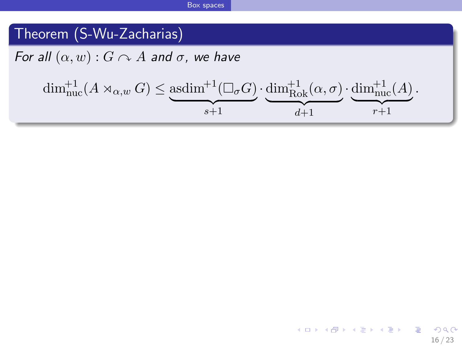# Theorem (S-Wu-Zacharias)

For all  $(\alpha, w)$  :  $G \curvearrowright A$  and  $\sigma$ , we have

$$
\dim_{\rm nuc}^{+1}(A\rtimes_{\alpha,w}G)\leq \underbrace{\rm asdim^{+1}(\square_{\sigma}G)}_{s+1}\cdot\underbrace{\dim_{\rm Rok}^{+1}(\alpha,\sigma)}_{d+1}\cdot\underbrace{\dim_{\rm nuc}^{+1}(A)}_{r+1}.
$$

<span id="page-39-0"></span>16 / 23

 $299$ 

イロト 不優 ト 不思 ト 不思 トー 理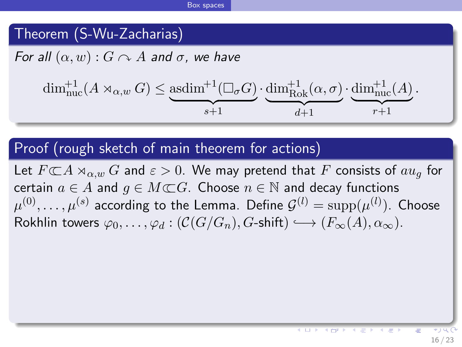# Theorem (S-Wu-Zacharias)

For all  $(\alpha, w)$ :  $G \curvearrowright A$  and  $\sigma$ , we have

$$
\dim_{\text{nuc}}^{+1}(A \rtimes_{\alpha,w} G) \leq \underbrace{\text{asdim}^{+1}(\Box_{\sigma} G)}_{s+1} \cdot \underbrace{\dim_{\text{Rok}}^{+1}(\alpha,\sigma)}_{d+1} \cdot \underbrace{\dim_{\text{nuc}}^{+1}(A)}_{r+1}.
$$

### Proof (rough sketch of main theorem for actions)

Let  $F\mathbb{C} A\rtimes_{\alpha,w} G$  and  $\varepsilon > 0$ . We may pretend that F consists of  $au_a$  for certain  $a \in A$  and  $q \in M \subset \mathbb{C}$ . Choose  $n \in \mathbb{N}$  and decay functions  $\mu^{(0)},\ldots,\mu^{(s)}$  according to the Lemma. Define  $\mathcal{G}^{(l)}=\mathrm{supp}(\mu^{(l)}).$  Choose Rokhlin towers  $\varphi_0, \ldots, \varphi_d : (\mathcal{C}(G/G_n), G\text{-shift}) \longrightarrow (F_{\infty}(A), \alpha_{\infty}).$ 

<span id="page-40-0"></span>**K 四 ▶ 【 三 ▶**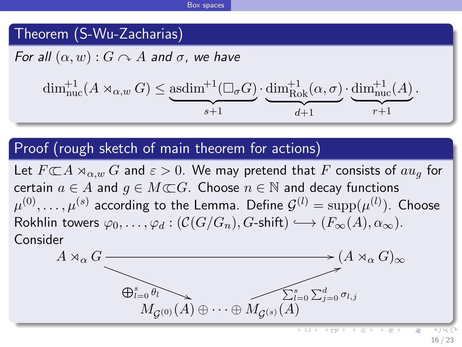## Theorem (S-Wu-Zacharias)

For all  $(\alpha, w)$ :  $G \cap A$  and  $\sigma$ , we have

$$
\dim_{\text{nuc}}^{+1}(A \rtimes_{\alpha,w} G) \leq \underbrace{\text{asdim}^{+1}(\Box_{\sigma} G)}_{s+1} \cdot \underbrace{\dim_{\text{Rok}}^{+1}(\alpha,\sigma)}_{d+1} \cdot \underbrace{\dim_{\text{nuc}}^{+1}(A)}_{r+1}.
$$

### Proof (rough sketch of main theorem for actions)

Let  $F\mathbb{C} A\rtimes_{\alpha,w} G$  and  $\varepsilon > 0$ . We may pretend that F consists of  $au_a$  for certain  $a \in A$  and  $q \in M \subset \mathbb{C}$ . Choose  $n \in \mathbb{N}$  and decay functions  $\mu^{(0)},\ldots,\mu^{(s)}$  according to the Lemma. Define  $\mathcal{G}^{(l)}=\mathrm{supp}(\mu^{(l)}).$  Choose Rokhlin towers  $\varphi_0, \ldots, \varphi_d : (\mathcal{C}(G/G_n), G\text{-shift}) \longrightarrow (F_{\infty}(A), \alpha_{\infty}).$ Consider

<span id="page-41-0"></span>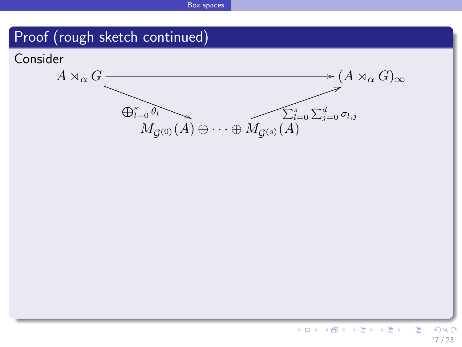### Proof (rough sketch continued)

<span id="page-42-0"></span>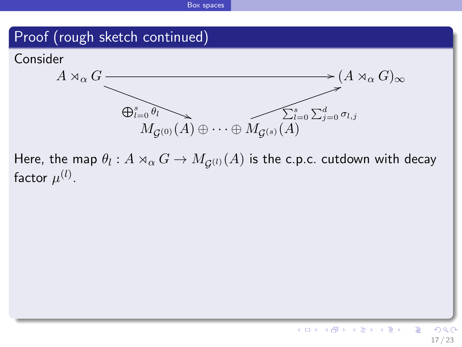### Proof (rough sketch continued)



<span id="page-43-0"></span>Here, the map  $\theta_l : A \rtimes_{\alpha} G \to M_{\mathcal G^{(l)}}(A)$  is the c.p.c. cutdown with decay factor  $\mu^{(l)}.$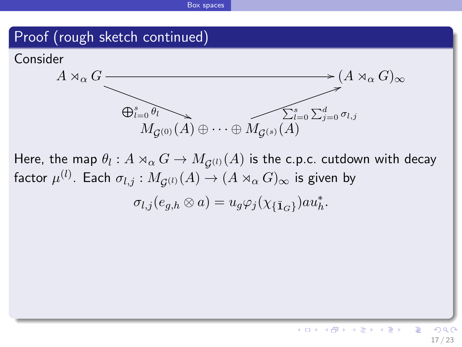### Proof (rough sketch continued)



Here, the map  $\theta_l : A \rtimes_{\alpha} G \to M_{\mathcal G^{(l)}}(A)$  is the c.p.c. cutdown with decay factor  $\mu^{(l)}.$  Each  $\sigma_{l,j}:M_{\mathcal{G}^{(l)}}(A)\rightarrow (A\rtimes_{\alpha}G)_{\infty}$  is given by

 $\sigma_{l,j}(e_{g,h}\otimes a)=u_g\varphi_j(\chi_{\{\bar{\mathbf{1}}_G\}})au_h^*.$ 

<span id="page-44-0"></span>17 / 23

Ε

メロト メ都 トメ ヨ トメ ヨト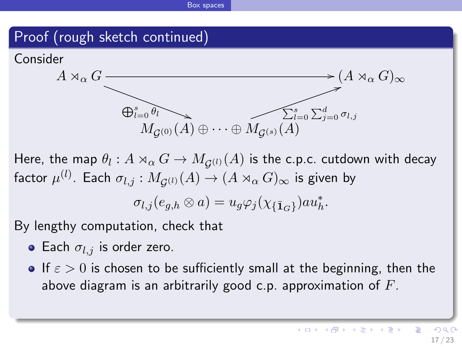### Proof (rough sketch continued)





Here, the map  $\theta_l : A \rtimes_{\alpha} G \to M_{\mathcal G^{(l)}}(A)$  is the c.p.c. cutdown with decay factor  $\mu^{(l)}.$  Each  $\sigma_{l,j}:M_{\mathcal{G}^{(l)}}(A)\rightarrow (A\rtimes_{\alpha}G)_{\infty}$  is given by

<span id="page-45-0"></span>
$$
\sigma_{l,j}(e_{g,h}\otimes a)=u_g\varphi_j(\chi_{\{\bar{\mathbf{1}}_G\}})a u_h^*.
$$

By lengthy computation, check that

- Each  $\sigma_{l,j}$  is order zero.
- **If**  $\epsilon > 0$  is chosen to be sufficiently small at the beginning, then the above diagram is an arbitrarily good c.p. approximation of  $F$ .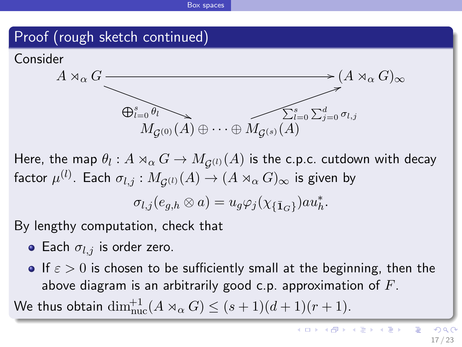### Proof (rough sketch continued)





Here, the map  $\theta_l : A \rtimes_{\alpha} G \to M_{\mathcal G^{(l)}}(A)$  is the c.p.c. cutdown with decay factor  $\mu^{(l)}.$  Each  $\sigma_{l,j}:M_{\mathcal{G}^{(l)}}(A)\rightarrow (A\rtimes_{\alpha}G)_{\infty}$  is given by

<span id="page-46-0"></span>
$$
\sigma_{l,j}(e_{g,h}\otimes a)=u_g\varphi_j(\chi_{\{\bar{\mathbf{1}}_G\}})a u_h^*.
$$

By lengthy computation, check that

- Each  $\sigma_{l,j}$  is order zero.
- **If**  $\epsilon > 0$  is chosen to be sufficiently small at the beginning, then the above diagram is an arbitrarily good c.p. approximation of  $F$ .

We thus obtain  $\dim_{\rm nuc}^{+1}(A\rtimes_{\alpha}G)\leq (s+1)(d+1)(r+1).$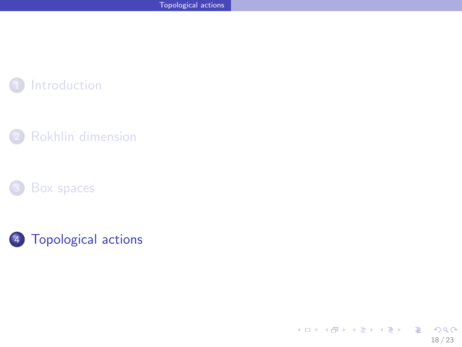







<span id="page-47-0"></span>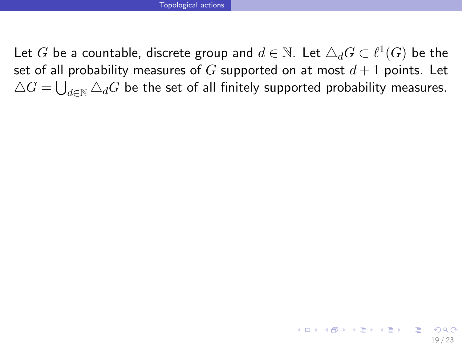<span id="page-48-0"></span>Let  $G$  be a countable, discrete group and  $d\in \mathbb{N}.$  Let  $\triangle_d G\subset \ell^1(G)$  be the set of all probability measures of  $G$  supported on at most  $d+1$  points. Let  $\triangle G = \bigcup_{d \in \mathbb{N}} \triangle_d G$  be the set of all finitely supported probability measures.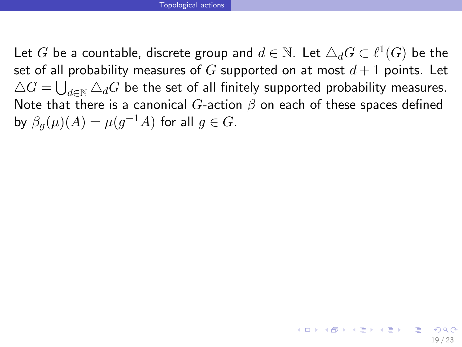Let  $G$  be a countable, discrete group and  $d\in \mathbb{N}.$  Let  $\triangle_d G\subset \ell^1(G)$  be the set of all probability measures of G supported on at most  $d+1$  points. Let  $\triangle G = \bigcup_{d \in \mathbb{N}} \triangle_d G$  be the set of all finitely supported probability measures. Note that there is a canonical G-action  $\beta$  on each of these spaces defined by  $\beta_g(\mu)(A) = \mu(g^{-1}A)$  for all  $g \in G$ .

<span id="page-49-0"></span>19 / 23

イロト 不優 ト 不思 ト 不思 トー 温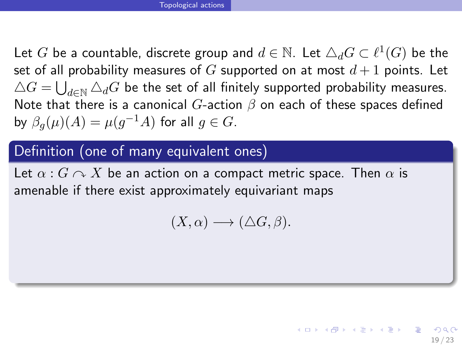Let  $G$  be a countable, discrete group and  $d\in \mathbb{N}.$  Let  $\triangle_d G\subset \ell^1(G)$  be the set of all probability measures of G supported on at most  $d+1$  points. Let  $\triangle G = \bigcup_{d \in \mathbb{N}} \triangle_d G$  be the set of all finitely supported probability measures. Note that there is a canonical  $G$ -action  $\beta$  on each of these spaces defined by  $\beta_g(\mu)(A) = \mu(g^{-1}A)$  for all  $g \in G$ .

# Definition (one of many equivalent ones)

Let  $\alpha$  :  $G \curvearrowright X$  be an action on a compact metric space. Then  $\alpha$  is amenable if there exist approximately equivariant maps

$$
(X,\alpha)\longrightarrow(\Delta G,\beta).
$$

<span id="page-50-0"></span>19 / 23

イロト 不優 ト 不思 ト 不思 トー 理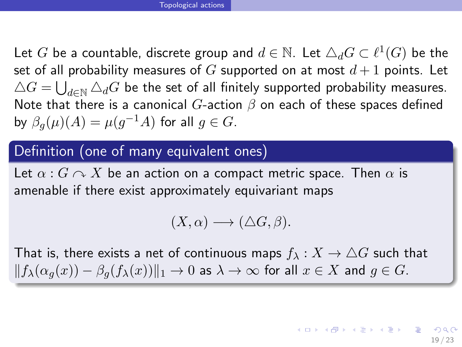Let  $G$  be a countable, discrete group and  $d\in \mathbb{N}.$  Let  $\triangle_d G\subset \ell^1(G)$  be the set of all probability measures of G supported on at most  $d+1$  points. Let  $\triangle G = \bigcup_{d \in \mathbb{N}} \triangle_d G$  be the set of all finitely supported probability measures. Note that there is a canonical G-action  $\beta$  on each of these spaces defined by  $\beta_g(\mu)(A) = \mu(g^{-1}A)$  for all  $g \in G$ .

### Definition (one of many equivalent ones)

Let  $\alpha$  :  $G \curvearrowright X$  be an action on a compact metric space. Then  $\alpha$  is amenable if there exist approximately equivariant maps

<span id="page-51-0"></span>
$$
(X,\alpha)\longrightarrow(\Delta G,\beta).
$$

That is, there exists a net of continuous maps  $f_{\lambda}: X \to \triangle G$  such that  $||f_{\lambda}(\alpha_{g}(x)) - \beta_{g}(f_{\lambda}(x))||_{1} \rightarrow 0$  as  $\lambda \rightarrow \infty$  for all  $x \in X$  and  $g \in G$ .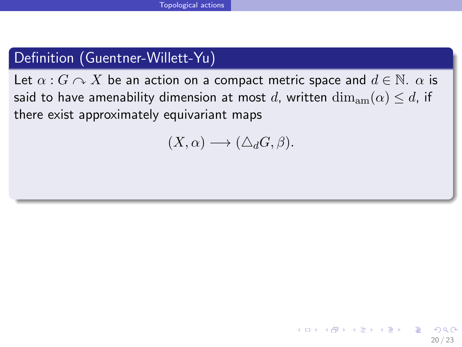# Definition (Guentner-Willett-Yu)

Let  $\alpha$  :  $G \cap X$  be an action on a compact metric space and  $d \in \mathbb{N}$ .  $\alpha$  is said to have amenability dimension at most d, written  $\dim_{\text{am}}(\alpha) \leq d$ , if there exist approximately equivariant maps

<span id="page-52-0"></span>
$$
(X,\alpha)\longrightarrow(\triangle_dG,\beta).
$$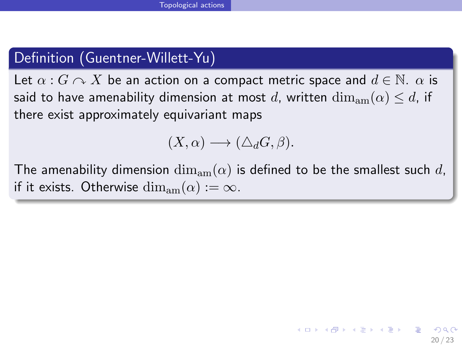# Definition (Guentner-Willett-Yu)

Let  $\alpha$  :  $G \curvearrowright X$  be an action on a compact metric space and  $d \in \mathbb{N}$ .  $\alpha$  is said to have amenability dimension at most d, written  $\dim_{\text{am}}(\alpha) \leq d$ , if there exist approximately equivariant maps

<span id="page-53-0"></span>
$$
(X,\alpha)\longrightarrow(\Delta_dG,\beta).
$$

The amenability dimension  $\dim_{am}(\alpha)$  is defined to be the smallest such d, if it exists. Otherwise  $\dim_{\text{am}}(\alpha) := \infty$ .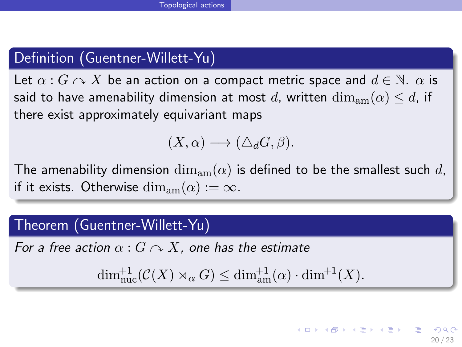# Definition (Guentner-Willett-Yu)

Let  $\alpha$  :  $G \curvearrowright X$  be an action on a compact metric space and  $d \in \mathbb{N}$ .  $\alpha$  is said to have amenability dimension at most d, written  $\dim_{\text{am}}(\alpha) \leq d$ , if there exist approximately equivariant maps

$$
(X,\alpha)\longrightarrow(\Delta_dG,\beta).
$$

The amenability dimension  $\dim_{am}(\alpha)$  is defined to be the smallest such d, if it exists. Otherwise  $\dim_{\text{am}}(\alpha) := \infty$ .

### Theorem (Guentner-Willett-Yu)

For a free action  $\alpha$  :  $G \cap X$ , one has the estimate

 $\dim_{\text{nuc}}^{+1}(\mathcal{C}(X) \rtimes_{\alpha} G) \leq \dim_{\text{am}}^{+1}(\alpha) \cdot \dim^{+1}(X).$ 

<span id="page-54-0"></span>イロト 不優 ト 不思 ト 不思 トー 理 20 / 23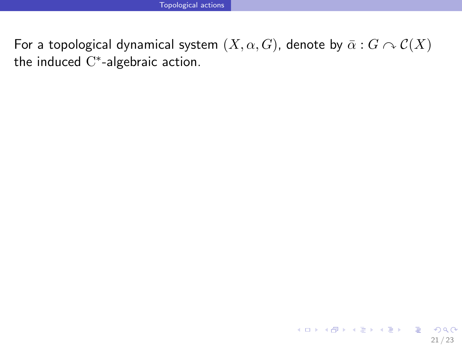<span id="page-55-0"></span>For a topological dynamical system  $(X, \alpha, G)$ , denote by  $\bar{\alpha}: G \curvearrowright \mathcal{C}(X)$ the induced  $C^*$ -algebraic action.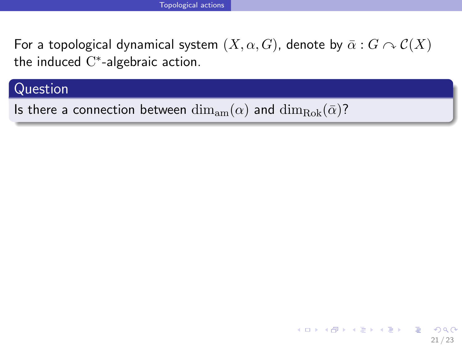For a topological dynamical system  $(X, \alpha, G)$ , denote by  $\bar{\alpha}: G \cap C(X)$ the induced  $C^*$ -algebraic action.

<span id="page-56-0"></span>21 / 23

 $\Omega$ 

イロト 不優 ト 不重 ト 不重 トー 重

### Question

Is there a connection between  $\dim_{\text{am}}(\alpha)$  and  $\dim_{\text{Rok}}(\bar{\alpha})$ ?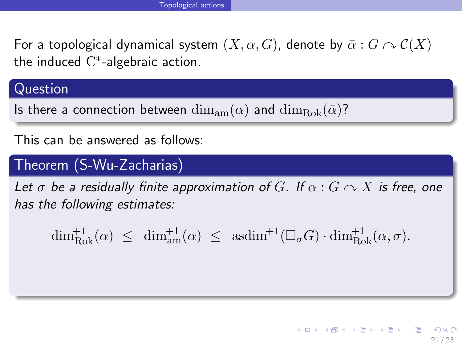For a topological dynamical system  $(X, \alpha, G)$ , denote by  $\bar{\alpha}: G \curvearrowright \mathcal{C}(X)$ the induced  $C^*$ -algebraic action.

### Question

Is there a connection between  $\dim_{\text{tan}}(\alpha)$  and  $\dim_{\text{Rok}}(\bar{\alpha})$ ?

This can be answered as follows:

# Theorem (S-Wu-Zacharias)

Let  $\sigma$  be a residually finite approximation of G. If  $\alpha$  :  $G \curvearrowright X$  is free, one has the following estimates:

<span id="page-57-0"></span> $\dim_{\text{Rok}}^{+1}(\bar{\alpha}) \leq \dim_{\text{am}}^{+1}(\alpha) \leq \text{asdim}^{+1}(\Box_{\sigma}G) \cdot \dim_{\text{Rok}}^{+1}(\bar{\alpha}, \sigma).$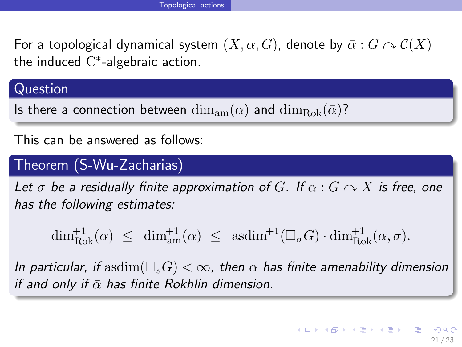For a topological dynamical system  $(X, \alpha, G)$ , denote by  $\bar{\alpha}: G \curvearrowright \mathcal{C}(X)$ the induced  $C^*$ -algebraic action.

### Question

Is there a connection between  $\dim_{\text{am}}(\alpha)$  and  $\dim_{\text{Bok}}(\bar{\alpha})$ ?

This can be answered as follows:

# Theorem (S-Wu-Zacharias)

Let  $\sigma$  be a residually finite approximation of G. If  $\alpha$  :  $G \curvearrowright X$  is free, one has the following estimates:

<span id="page-58-0"></span> $\dim_{\text{Rok}}^{+1}(\bar{\alpha}) \leq \dim_{\text{am}}^{+1}(\alpha) \leq \text{asdim}^{+1}(\Box_{\sigma}G) \cdot \dim_{\text{Rok}}^{+1}(\bar{\alpha}, \sigma).$ 

In particular, if asdim $(\Box_s G) < \infty$ , then  $\alpha$  has finite amenability dimension if and only if  $\bar{\alpha}$  has finite Rokhlin dimension.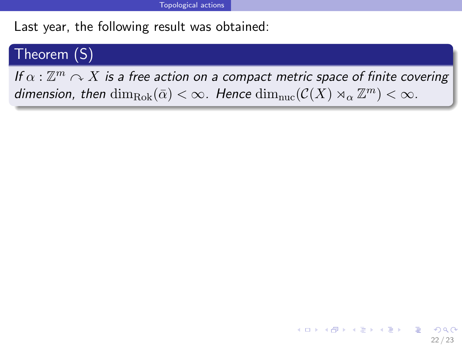Last year, the following result was obtained:

### Theorem (S)

If  $\alpha: \mathbb{Z}^m \curvearrowright X$  is a free action on a compact metric space of finite covering dimension, then  $\dim_{\rm Rok}(\bar{\alpha}) < \infty$ . Hence  $\dim_{\rm nuc}(\mathcal{C}(X) \rtimes_{\alpha} \mathbb{Z}^m) < \infty$ .

<span id="page-59-0"></span>22 / 23

イロト 不優 ト 不思 ト 不思 トー 理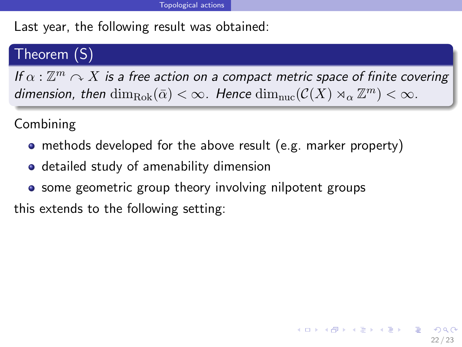Last year, the following result was obtained:

# Theorem (S)

If  $\alpha: \mathbb{Z}^m \curvearrowright X$  is a free action on a compact metric space of finite covering dimension, then  $\dim_{\rm Rok}(\bar{\alpha}) < \infty$ . Hence  $\dim_{\rm nuc}(\mathcal{C}(X) \rtimes_{\alpha} \mathbb{Z}^m) < \infty$ .

<span id="page-60-0"></span>22 / 23

イロト 不優 ト 不思 ト 不思 トー 理

Combining

- methods developed for the above result (e.g. marker property)
- **•** detailed study of amenability dimension
- some geometric group theory involving nilpotent groups

this extends to the following setting: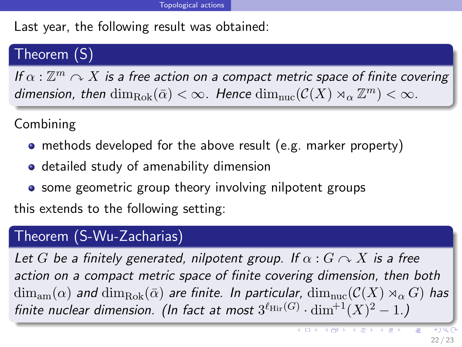Last year, the following result was obtained:

# Theorem (S)

If  $\alpha: \mathbb{Z}^m \curvearrowright X$  is a free action on a compact metric space of finite covering dimension, then  $\dim_{\rm Rok}(\bar{\alpha}) < \infty$ . Hence  $\dim_{\rm nuc}(\mathcal{C}(X) \rtimes_{\alpha} \mathbb{Z}^m) < \infty$ .

Combining

- methods developed for the above result (e.g. marker property)
- **•** detailed study of amenability dimension
- **•** some geometric group theory involving nilpotent groups

this extends to the following setting:

## Theorem (S-Wu-Zacharias)

Let G be a finitely generated, nilpotent group. If  $\alpha$  :  $G \curvearrowright X$  is a free action on a compact metric space of finite covering dimension, then both  $\dim_{\text{am}}(\alpha)$  and  $\dim_{\text{Rok}}(\bar{\alpha})$  are finite. In particular,  $\dim_{\text{nuc}}(\mathcal{C}(X) \rtimes_{\alpha} G)$  has finite nuclear dimension. (In fact at most  $3^{\ell_{\rm Hir}(G)} \cdot \dim^{+1}(X)^2 - 1$ .)

<span id="page-61-0"></span>÷